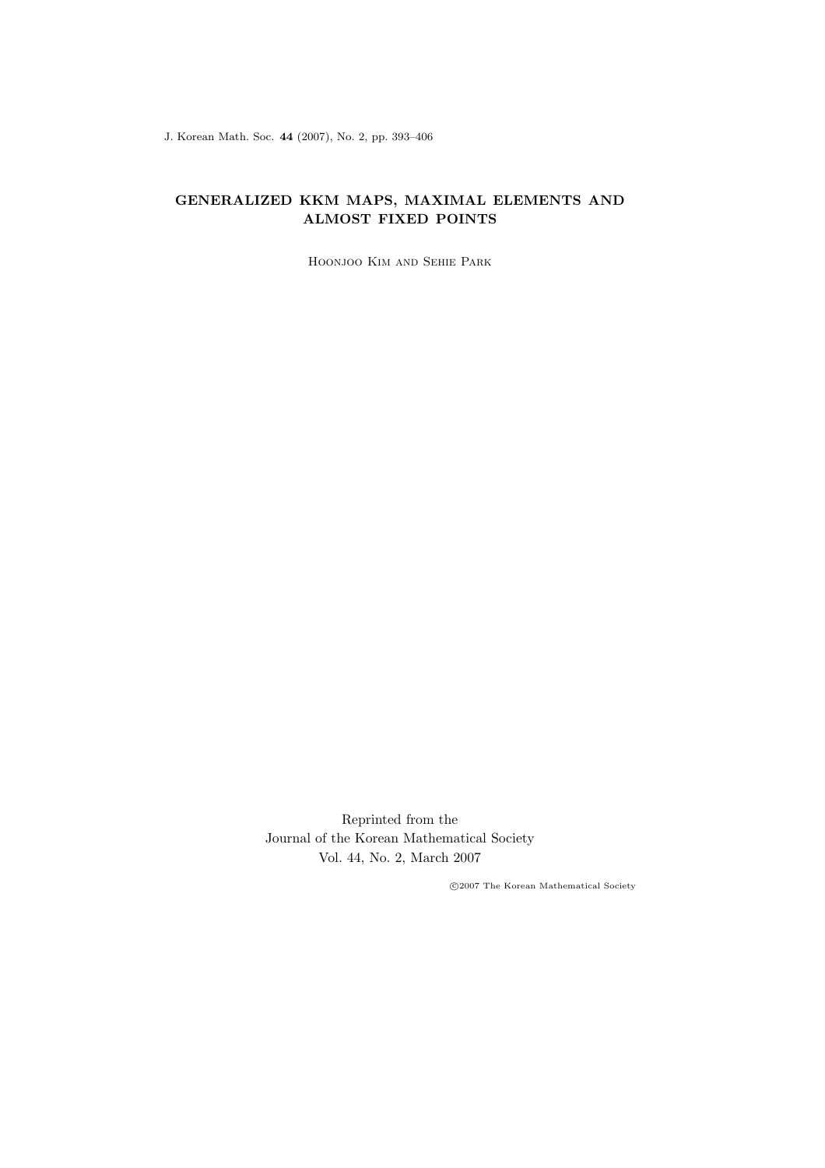J. Korean Math. Soc. 44 (2007), No. 2, pp. 393–406

# GENERALIZED KKM MAPS, MAXIMAL ELEMENTS AND ALMOST FIXED POINTS

Hoonjoo Kim and Sehie Park

Reprinted from the Journal of the Korean Mathematical Society Vol. 44, No. 2, March 2007

°c 2007 The Korean Mathematical Society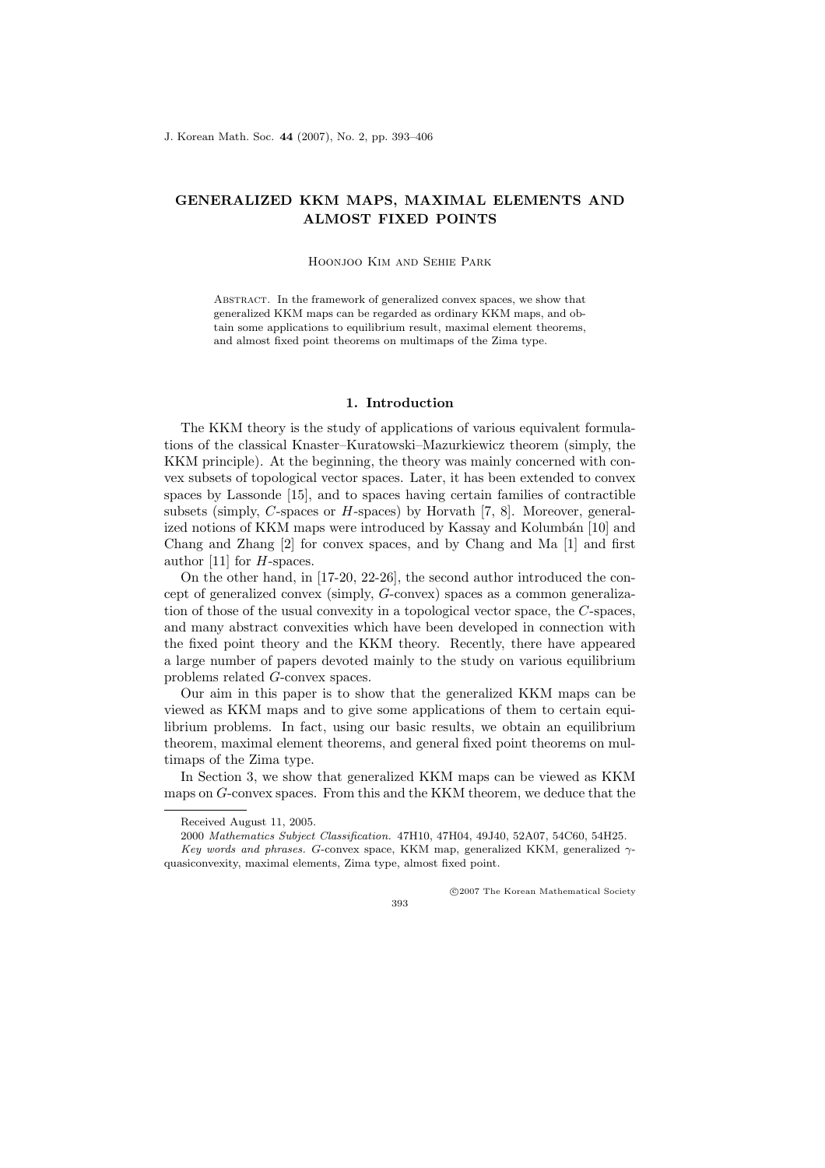# GENERALIZED KKM MAPS, MAXIMAL ELEMENTS AND ALMOST FIXED POINTS

#### Hoonjoo Kim and Sehie Park

Abstract. In the framework of generalized convex spaces, we show that generalized KKM maps can be regarded as ordinary KKM maps, and obtain some applications to equilibrium result, maximal element theorems, and almost fixed point theorems on multimaps of the Zima type.

#### 1. Introduction

The KKM theory is the study of applications of various equivalent formulations of the classical Knaster–Kuratowski–Mazurkiewicz theorem (simply, the KKM principle). At the beginning, the theory was mainly concerned with convex subsets of topological vector spaces. Later, it has been extended to convex spaces by Lassonde [15], and to spaces having certain families of contractible subsets (simply, C-spaces or  $H$ -spaces) by Horvath [7, 8]. Moreover, generalized notions of KKM maps were introduced by Kassay and Kolumbán [10] and Chang and Zhang [2] for convex spaces, and by Chang and Ma [1] and first author [11] for  $H$ -spaces.

On the other hand, in [17-20, 22-26], the second author introduced the concept of generalized convex (simply, G-convex) spaces as a common generalization of those of the usual convexity in a topological vector space, the C-spaces, and many abstract convexities which have been developed in connection with the fixed point theory and the KKM theory. Recently, there have appeared a large number of papers devoted mainly to the study on various equilibrium problems related G-convex spaces.

Our aim in this paper is to show that the generalized KKM maps can be viewed as KKM maps and to give some applications of them to certain equilibrium problems. In fact, using our basic results, we obtain an equilibrium theorem, maximal element theorems, and general fixed point theorems on multimaps of the Zima type.

In Section 3, we show that generalized KKM maps can be viewed as KKM maps on G-convex spaces. From this and the KKM theorem, we deduce that the

°c 2007 The Korean Mathematical Society

393

Received August 11, 2005.

<sup>2000</sup> Mathematics Subject Classification. 47H10, 47H04, 49J40, 52A07, 54C60, 54H25. Key words and phrases. G-convex space, KKM map, generalized KKM, generalized  $\gamma$ -

quasiconvexity, maximal elements, Zima type, almost fixed point.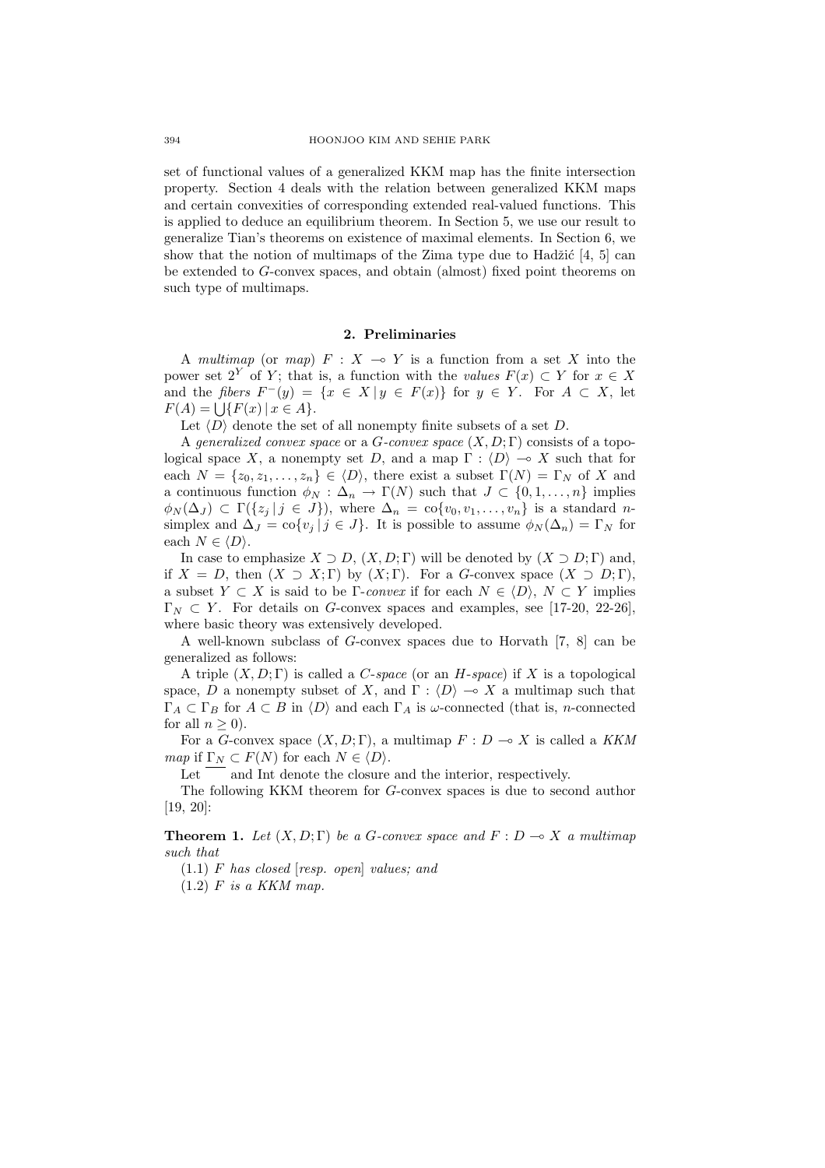set of functional values of a generalized KKM map has the finite intersection property. Section 4 deals with the relation between generalized KKM maps and certain convexities of corresponding extended real-valued functions. This is applied to deduce an equilibrium theorem. In Section 5, we use our result to generalize Tian's theorems on existence of maximal elements. In Section 6, we show that the notion of multimaps of the Zima type due to Hadžić  $[4, 5]$  can be extended to G-convex spaces, and obtain (almost) fixed point theorems on such type of multimaps.

## 2. Preliminaries

A multimap (or map)  $F : X \multimap Y$  is a function from a set X into the power set  $2^Y$  of Y; that is, a function with the values  $F(x) \subset Y$  for  $x \in X$ and the fibers  $F^-(y) = \{x \in X | y \in F(x)\}\$ for  $y \in Y$ . For  $A \subset X$ , let and the *floers*  $F(y) = F(A) = \bigcup \{F(x) | x \in A\}.$ 

Let  $\langle D \rangle$  denote the set of all nonempty finite subsets of a set D.

A generalized convex space or a G-convex space  $(X, D; \Gamma)$  consists of a topological space X, a nonempty set D, and a map  $\Gamma : \langle D \rangle \to X$  such that for each  $N = \{z_0, z_1, \ldots, z_n\} \in \langle D \rangle$ , there exist a subset  $\Gamma(N) = \Gamma_N$  of X and a continuous function  $\phi_N : \Delta_n \to \Gamma(N)$  such that  $J \subset \{0, 1, \ldots, n\}$  implies  $\phi_N(\Delta_J) \subset \Gamma({z_i | j \in J})$ , where  $\Delta_n = \text{co}\{v_0, v_1, \ldots, v_n\}$  is a standard nsimplex and  $\Delta_J = \text{co}\{v_j \mid j \in J\}$ . It is possible to assume  $\phi_N(\Delta_n) = \Gamma_N$  for each  $N \in \langle D \rangle$ .

In case to emphasize  $X \supset D$ ,  $(X, D; \Gamma)$  will be denoted by  $(X \supset D; \Gamma)$  and, if  $X = D$ , then  $(X \supset X; \Gamma)$  by  $(X; \Gamma)$ . For a G-convex space  $(X \supset D; \Gamma)$ , a subset  $Y \subset X$  is said to be Γ-convex if for each  $N \in \langle D \rangle$ ,  $N \subset Y$  implies  $\Gamma_N \subset Y$ . For details on G-convex spaces and examples, see [17-20, 22-26], where basic theory was extensively developed.

A well-known subclass of G-convex spaces due to Horvath [7, 8] can be generalized as follows:

A triple  $(X, D; \Gamma)$  is called a *C-space* (or an *H-space*) if X is a topological space, D a nonempty subset of X, and  $\Gamma : \langle D \rangle \longrightarrow X$  a multimap such that  $\Gamma_A \subset \Gamma_B$  for  $A \subset B$  in  $\langle D \rangle$  and each  $\Gamma_A$  is  $\omega$ -connected (that is, n-connected for all  $n \geq 0$ ).

For a G-convex space  $(X, D; \Gamma)$ , a multimap  $F: D \to X$  is called a KKM map if  $\Gamma_N \subset F(N)$  for each  $N \in \langle D \rangle$ .

Let and Int denote the closure and the interior, respectively.

The following KKM theorem for G-convex spaces is due to second author [19, 20]:

**Theorem 1.** Let  $(X, D; \Gamma)$  be a G-convex space and  $F: D \to X$  a multimap such that

 $(1.1)$  F has closed [resp. open] values; and

 $(1.2)$  F is a KKM map.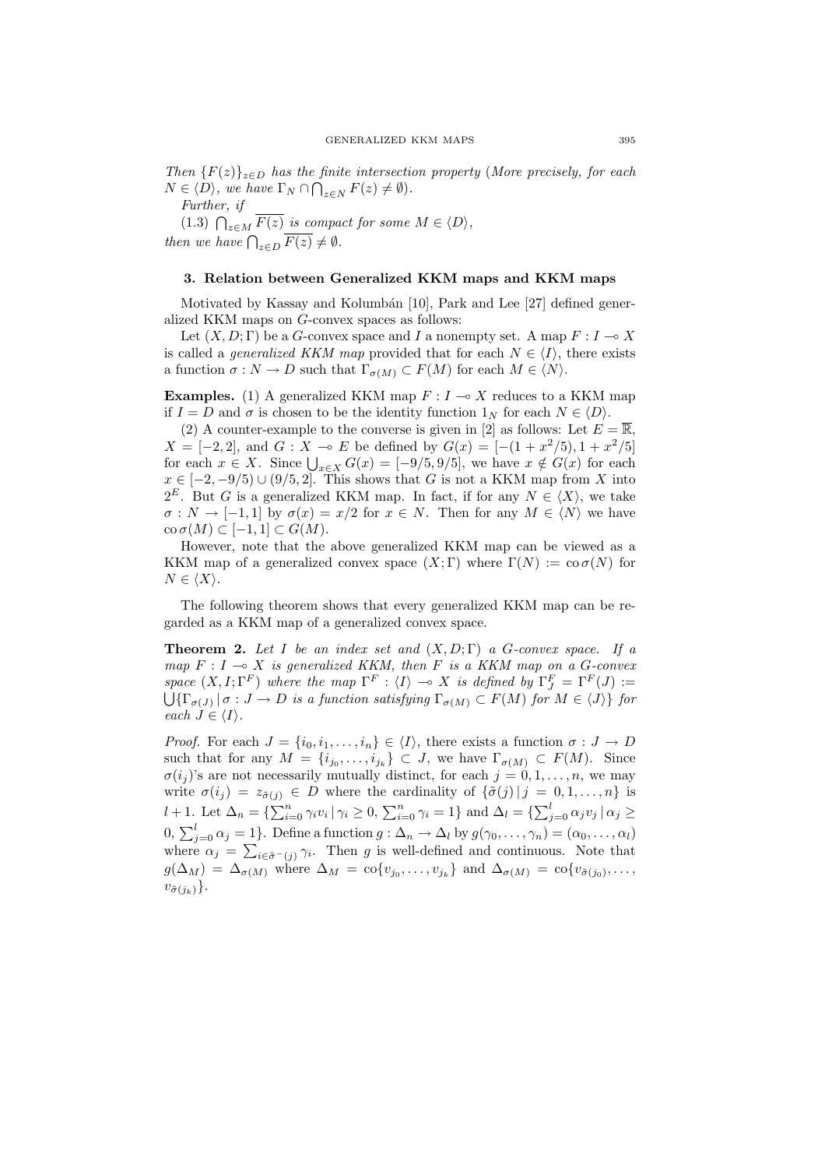Then  ${F(z)}_{z\in D}$  has the finite intersection property (More precisely, for each  $N \in \langle D \rangle$ , we have  $\Gamma_N \cap \bigcap_{z \in N} F(z) \neq \emptyset$ .

Further, if

Further, if  $(1.3)$   $\bigcap_{z \in M} \overline{F(z)}$  is compact for some  $M \in \langle D \rangle$ , then we have  $\bigcap_{z \in D} \overline{F(z)} \neq \emptyset$ .

## 3. Relation between Generalized KKM maps and KKM maps

Motivated by Kassay and Kolumbán  $[10]$ , Park and Lee  $[27]$  defined generalized KKM maps on G-convex spaces as follows:

Let  $(X, D; \Gamma)$  be a G-convex space and I a nonempty set. A map  $F: I \to X$ is called a *generalized KKM map* provided that for each  $N \in \langle I \rangle$ , there exists a function  $\sigma : N \to D$  such that  $\Gamma_{\sigma(M)} \subset F(M)$  for each  $M \in \langle N \rangle$ .

**Examples.** (1) A generalized KKM map  $F : I \rightarrow X$  reduces to a KKM map if  $I = D$  and  $\sigma$  is chosen to be the identity function  $1_N$  for each  $N \in \langle D \rangle$ .

(2) A counter-example to the converse is given in [2] as follows: Let  $E = \overline{\mathbb{R}}$ ,  $X = [-2, 2]$ , and  $G : X \multimap E$  be defined by  $G(x) = [-(1 + x^2/5), 1 + x^2/5]$  $A = [-2, 2]$ , and  $G : A \to E$  be defined by  $G(x) = [-(1 + x<sup>2</sup>/3), 1 + x<sup>2</sup>/3]$ <br>for each  $x \in X$ . Since  $\bigcup_{x \in X} G(x) = [-9/5, 9/5]$ , we have  $x \notin G(x)$  for each  $x \in [-2, -9/5) \cup (9/5, 2]$ . This shows that G is not a KKM map from X into  $2^E$ . But G is a generalized KKM map. In fact, if for any  $N \in \langle X \rangle$ , we take  $\sigma: N \to [-1,1]$  by  $\sigma(x) = x/2$  for  $x \in N$ . Then for any  $M \in \langle N \rangle$  we have  $\operatorname{co}\sigma(M) \subset [-1,1] \subset G(M).$ 

However, note that the above generalized KKM map can be viewed as a KKM map of a generalized convex space  $(X; \Gamma)$  where  $\Gamma(N) := \text{co }\sigma(N)$  for  $N \in \langle X \rangle$ .

The following theorem shows that every generalized KKM map can be regarded as a KKM map of a generalized convex space.

**Theorem 2.** Let I be an index set and  $(X, D; \Gamma)$  a G-convex space. If a map  $F : I \to X$  is generalized KKM, then F is a KKM map on a G-convex space  $(X, I; \Gamma^F)$  where the map  $\Gamma^F : \langle I \rangle \to X$  is defined by  $\Gamma^F_J = \Gamma^F(J) :=$ space  $(X, I; I^{-})$  where the map  $I^{-}: \langle I \rangle \to \Lambda$  is a function  $\mathcal{A}$  is a function satisfying  $\Gamma_{\sigma(M)} \subset F(M)$  for  $M \in \langle J \rangle$  for  $M \in \{J\}$ each  $J \in \langle I \rangle$ .

*Proof.* For each  $J = \{i_0, i_1, \ldots, i_n\} \in \langle I \rangle$ , there exists a function  $\sigma : J \to D$ such that for any  $M = \{i_{j_0}, \ldots, i_{j_k}\} \subset J$ , we have  $\Gamma_{\sigma(M)} \subset F(M)$ . Since  $\sigma(i_j)$ 's are not necessarily mutually distinct, for each  $j = 0, 1, \ldots, n$ , we may write  $\sigma(i_j) = z_{\tilde{\sigma}(j)} \in D$  where the cardinality of  $\{\tilde{\sigma}(j) | j = 0, 1, \ldots, n\}$  is  $l + 1$ . Let  $\Delta_n = {\sum_{i=0}^n \gamma_i v_i |\gamma_i \ge 0, \sum_{i=0}^n \gamma_i = 1}$  and  $\Delta_l = {\sum_{j=0}^l \alpha_j v_j |\alpha_j \ge 0}$ 0,  $\sum_{j=0}^{l} \alpha_j = 1$ . Define a function  $g : \Delta_n \to \Delta_l$  by  $g(\gamma_0, \ldots, \gamma_n) = (\alpha_0, \ldots, \alpha_l)$ where  $\alpha_j = \sum_{i \in \tilde{\sigma}^-(j)} \gamma_i$ . Then g is well-defined and continuous. Note that  $g(\Delta_M) = \Delta_{\sigma(M)}$  where  $\Delta_M = \text{co}\{v_{j_0}, \ldots, v_{j_k}\}\$ and  $\Delta_{\sigma(M)} = \text{co}\{v_{\tilde{\sigma}(j_0)}, \ldots, v_{j_k}\}\$  $v_{\tilde{\sigma}(j_k)}\}$ .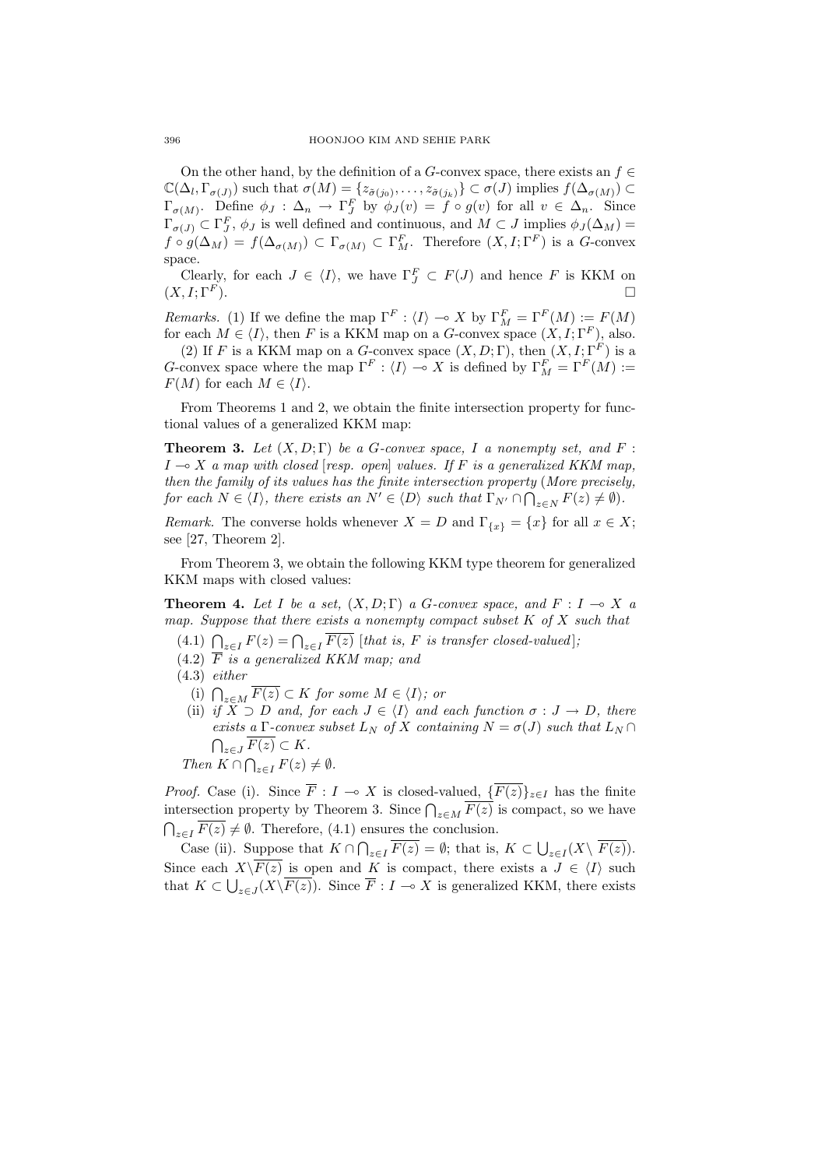On the other hand, by the definition of a G-convex space, there exists an  $f \in$  $\mathbb{C}(\Delta_l, \Gamma_{\sigma(J)})$  such that  $\sigma(M) = \{z_{\tilde{\sigma}(j_0)}, \ldots, z_{\tilde{\sigma}(j_k)}\} \subset \sigma(J)$  implies  $f(\Delta_{\sigma(M)}) \subset$  $\Gamma_{\sigma(M)}$ . Define  $\phi_J : \Delta_n \to \Gamma_J^F$  by  $\phi_J(v) = f \circ g(v)$  for all  $v \in \Delta_n$ . Since  $\Gamma_{\sigma(J)} \subset \Gamma_J^F$ ,  $\phi_J$  is well defined and continuous, and  $M \subset J$  implies  $\phi_J(\Delta_M)$  =  $f \circ g(\Delta_M) = f(\Delta_{\sigma(M)}) \subset \Gamma_{\sigma(M)} \subset \Gamma_M^F$ . Therefore  $(X, I; \Gamma^F)$  is a G-convex space.

Clearly, for each  $J \in \langle I \rangle$ , we have  $\Gamma_J^F \subset F(J)$  and hence F is KKM on  $(X, I; \Gamma^F)$ .

*Remarks.* (1) If we define the map  $\Gamma^F : \langle I \rangle \to X$  by  $\Gamma_M^F = \Gamma^F(M) := F(M)$ for each  $M \in \langle I \rangle$ , then F is a KKM map on a G-convex space  $(X, I; \Gamma^F)$ , also.

(2) If F is a KKM map on a G-convex space  $(X, D; \Gamma)$ , then  $(X, I; \Gamma^F)$  is a G-convex space where the map  $\Gamma^F : \langle I \rangle \to X$  is defined by  $\Gamma_M^F = \Gamma^F(M) :=$  $F(M)$  for each  $M \in \langle I \rangle$ .

From Theorems 1 and 2, we obtain the finite intersection property for functional values of a generalized KKM map:

**Theorem 3.** Let  $(X, D; \Gamma)$  be a G-convex space, I a nonempty set, and F:  $I \rightarrow X$  a map with closed [resp. open] values. If F is a generalized KKM map, then the family of its values has the finite intersection property (More precisely, for each  $N \in \langle I \rangle$ , there exists an  $N' \in \langle D \rangle$  such that  $\Gamma_{N'} \cap \bigcap_{z \in N} F(z) \neq \emptyset$ .

*Remark.* The converse holds whenever  $X = D$  and  $\Gamma_{\{x\}} = \{x\}$  for all  $x \in X$ ; see [27, Theorem 2].

From Theorem 3, we obtain the following KKM type theorem for generalized KKM maps with closed values:

**Theorem 4.** Let I be a set,  $(X, D; \Gamma)$  a G-convex space, and  $F: I \rightarrow X$  a map. Suppose that there exists a nonempty compact subset  $K$  of  $X$  such that

- (4.1)  $\bigcap_{z\in I} F(z) = \bigcap_{z\in I} \overline{F(z)}$  [that is, F is transfer closed-valued];
- $(4.2)$   $\overline{F}$  is a generalized KKM map; and
- (4.3) either
	- (i)  $\bigcap_{z \in M} \overline{F(z)} \subset K$  for some  $M \in \langle I \rangle$ ; or
	- (ii) if  $X \supset D$  and, for each  $J \in \langle I \rangle$  and each function  $\sigma : J \to D$ , there exists a  $\Gamma$ -convex subset  $L_N$  of  $X$  containing  $N = \sigma(J)$  such that  $L_N \cap \overline{\sigma_{\text{max}}$  $z\in J F(z)\subset K.$

Then 
$$
K \cap \bigcap_{z \in I} F(z) \neq \emptyset
$$
.

*Proof.* Case (i). Since  $\overline{F}$  :  $I \to X$  is closed-valued,  $\{\overline{F(z)}\}_{z\in I}$  has the finite intersection property by Theorem 3. Since  $\bigcap_{z \in M} \overline{F(z)}$  is compact, so we have  $\bigcap_{z\in I} \overline{F(z)} \neq \emptyset$ . Therefore, (4.1) ensures the conclusion.

Case (ii). Suppose that  $K \cap \bigcap_{z \in I} \overline{F(z)} = \emptyset$ ; that is,  $K \subset \bigcup$  $_{z\in I}(X\backslash F(z)).$ Since each  $X\backslash F(z)$  is open and K is compact, there exists a  $J \in \langle I \rangle$  such that  $K \subset \bigcup_{z \in J} (X \backslash F(z))$ . Since  $\overline{F} : I \to X$  is generalized KKM, there exists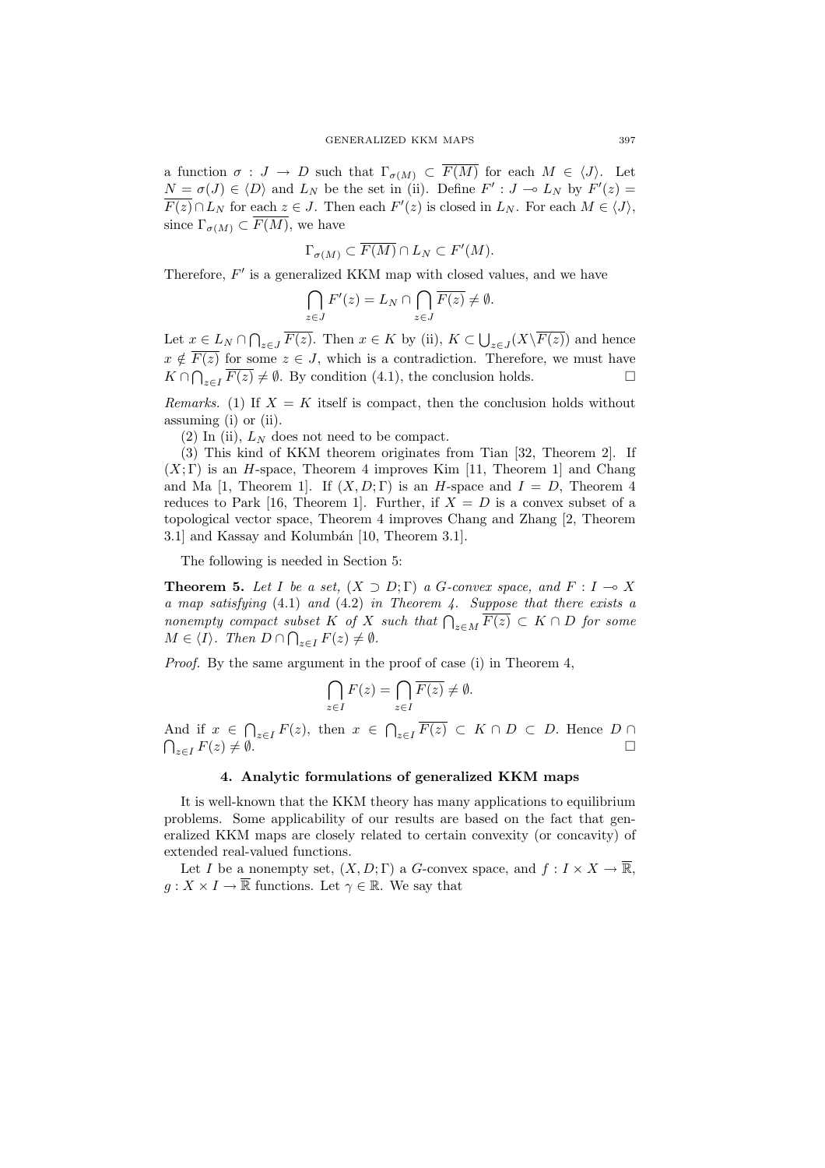a function  $\sigma: J \to D$  such that  $\Gamma_{\sigma(M)} \subset \overline{F(M)}$  for each  $M \in \langle J \rangle$ . Let  $N = \sigma(J) \in \langle D \rangle$  and  $L_N$  be the set in (ii). Define  $F' : J \to L_N$  by  $F'(z) =$  $\overline{F(z)} \cap L_N$  for each  $z \in J$ . Then each  $F'(z)$  is closed in  $L_N$ . For each  $M \in \langle J \rangle$ , since  $\Gamma_{\sigma(M)} \subset \overline{F(M)}$ , we have

$$
\Gamma_{\sigma(M)} \subset \overline{F(M)} \cap L_N \subset F'(M).
$$

Therefore,  $F'$  is a generalized KKM map with closed values, and we have

$$
\bigcap_{z \in J} F'(z) = L_N \cap \bigcap_{z \in J} \overline{F(z)} \neq \emptyset.
$$

Let  $x \in L_N \cap \bigcap_{z \in J} \overline{F(z)}$ . Then  $x \in K$  by (ii),  $K \subset \bigcup$  $_{z\in J}(X\backslash F(z))$  and hence  $x \notin F(z)$  for some  $z \in J$ , which is a contradiction. Therefore, we must have  $K \cap \bigcap_{z \in I} F(z) \neq \emptyset$ . By condition (4.1), the conclusion holds.  $\square$ 

Remarks. (1) If  $X = K$  itself is compact, then the conclusion holds without assuming (i) or (ii).

(2) In (ii),  $L<sub>N</sub>$  does not need to be compact.

(3) This kind of KKM theorem originates from Tian [32, Theorem 2]. If  $(X; \Gamma)$  is an H-space, Theorem 4 improves Kim [11, Theorem 1] and Chang and Ma [1, Theorem 1]. If  $(X, D; \Gamma)$  is an H-space and  $I = D$ , Theorem 4 reduces to Park [16, Theorem 1]. Further, if  $X = D$  is a convex subset of a topological vector space, Theorem 4 improves Chang and Zhang [2, Theorem 3.1] and Kassay and Kolumbán [10, Theorem 3.1].

The following is needed in Section 5:

**Theorem 5.** Let I be a set,  $(X \supset D; \Gamma)$  a G-convex space, and  $F : I \to X$ a map satisfying (4.1) and (4.2) in Theorem 4. Suppose that there exists a a map suisgying (4.1) and (4.2) in Theorem 4. Suppose that there exists a<br>nonempty compact subset K of X such that  $\bigcap_{z \in M} \overline{F(z)} \subset K \cap D$  for some  $M \in \langle I \rangle$ . Then  $D \cap \bigcap_{z \in I} F(z) \neq \emptyset$ .

Proof. By the same argument in the proof of case (i) in Theorem 4,

$$
\bigcap_{z \in I} F(z) = \bigcap_{z \in I} \overline{F(z)} \neq \emptyset.
$$

And if  $x \in \bigcap_{z \in I} F(z)$ , then  $x \in \bigcap_{z \in I} \overline{F(z)} \subset K \cap D \subset D$ . Hence  $D \cap$  $\bigcap_{z\in I} F(z)\neq \emptyset.$ 

# 4. Analytic formulations of generalized KKM maps

It is well-known that the KKM theory has many applications to equilibrium problems. Some applicability of our results are based on the fact that generalized KKM maps are closely related to certain convexity (or concavity) of extended real-valued functions.

Let I be a nonempty set,  $(X, D; \Gamma)$  a G-convex space, and  $f: I \times X \to \overline{\mathbb{R}}$ ,  $g: X \times I \to \overline{\mathbb{R}}$  functions. Let  $\gamma \in \mathbb{R}$ . We say that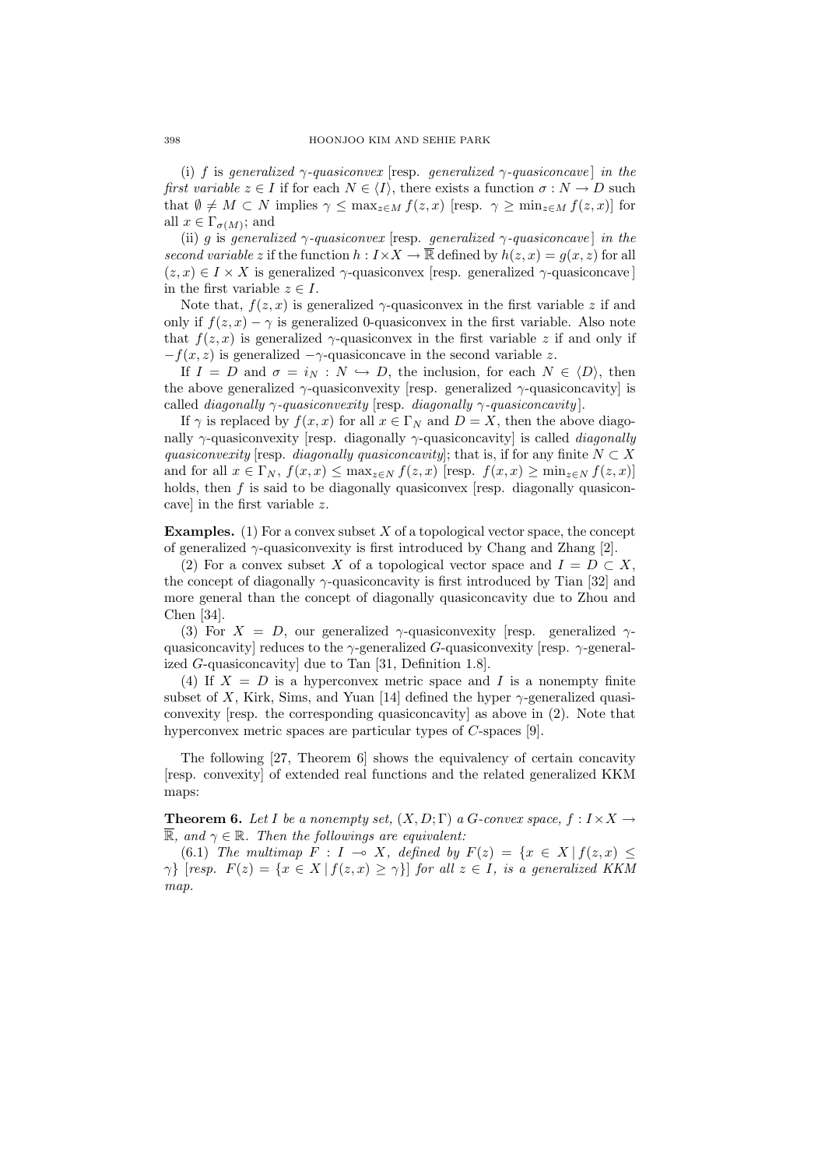(i) f is generalized  $\gamma$ -quasiconvex [resp. generalized  $\gamma$ -quasiconcave] in the first variable  $z \in I$  if for each  $N \in \langle I \rangle$ , there exists a function  $\sigma : N \to D$  such that  $\emptyset \neq M \subset N$  implies  $\gamma \leq \max_{z \in M} f(z, x)$  [resp.  $\gamma \geq \min_{z \in M} f(z, x)$ ] for all  $x \in \Gamma_{\sigma(M)}$ ; and

(ii) g is generalized  $\gamma$ -quasiconvex [resp. generalized  $\gamma$ -quasiconcave] in the second variable z if the function  $h: I \times X \to \overline{\mathbb{R}}$  defined by  $h(z, x) = g(x, z)$  for all  $(z, x) \in I \times X$  is generalized  $\gamma$ -quasiconvex [resp. generalized  $\gamma$ -quasiconcave] in the first variable  $z \in I$ .

Note that,  $f(z, x)$  is generalized  $\gamma$ -quasiconvex in the first variable z if and only if  $f(z, x) - \gamma$  is generalized 0-quasiconvex in the first variable. Also note that  $f(z, x)$  is generalized  $\gamma$ -quasiconvex in the first variable z if and only if  $-f(x, z)$  is generalized  $-\gamma$ -quasiconcave in the second variable z.

If  $I = D$  and  $\sigma = i_N : N \hookrightarrow D$ , the inclusion, for each  $N \in \langle D \rangle$ , then the above generalized  $\gamma$ -quasiconvexity [resp. generalized  $\gamma$ -quasiconcavity] is called *diagonally*  $\gamma$ *-quasiconvexity* [resp. *diagonally*  $\gamma$ *-quasiconcavity*].

If  $\gamma$  is replaced by  $f(x, x)$  for all  $x \in \Gamma_N$  and  $D = X$ , then the above diagonally  $\gamma$ -quasiconvexity [resp. diagonally  $\gamma$ -quasiconcavity] is called *diagonally* quasiconvexity [resp. diagonally quasiconcavity]; that is, if for any finite  $N \subset X$ and for all  $x \in \Gamma_N$ ,  $f(x,x) \leq \max_{z \in N} f(z,x)$  [resp.  $f(x,x) \geq \min_{z \in N} f(z,x)$ ] holds, then  $f$  is said to be diagonally quasiconvex [resp. diagonally quasiconcave] in the first variable z.

**Examples.** (1) For a convex subset  $X$  of a topological vector space, the concept of generalized  $\gamma$ -quasiconvexity is first introduced by Chang and Zhang [2].

(2) For a convex subset X of a topological vector space and  $I = D \subset X$ , the concept of diagonally  $\gamma$ -quasiconcavity is first introduced by Tian [32] and more general than the concept of diagonally quasiconcavity due to Zhou and Chen [34].

(3) For  $X = D$ , our generalized  $\gamma$ -quasiconvexity [resp. generalized  $\gamma$ quasiconcavity] reduces to the  $\gamma$ -generalized G-quasiconvexity [resp.  $\gamma$ -generalized G-quasiconcavity] due to Tan [31, Definition 1.8].

(4) If  $X = D$  is a hyperconvex metric space and I is a nonempty finite subset of X, Kirk, Sims, and Yuan [14] defined the hyper  $\gamma$ -generalized quasiconvexity [resp. the corresponding quasiconcavity] as above in (2). Note that hyperconvex metric spaces are particular types of C-spaces [9].

The following [27, Theorem 6] shows the equivalency of certain concavity [resp. convexity] of extended real functions and the related generalized KKM maps:

**Theorem 6.** Let I be a nonempty set,  $(X, D; \Gamma)$  a G-convex space,  $f: I \times X \rightarrow$ R, and  $\gamma \in \mathbb{R}$ . Then the followings are equivalent:

(6.1) The multimap  $F : I \multimap X$ , defined by  $F(z) = \{x \in X \mid f(z, x) \leq \}$  $\gamma$ } [resp.  $F(z) = \{x \in X \mid f(z, x) \geq \gamma\}$ ] for all  $z \in I$ , is a generalized KKM map.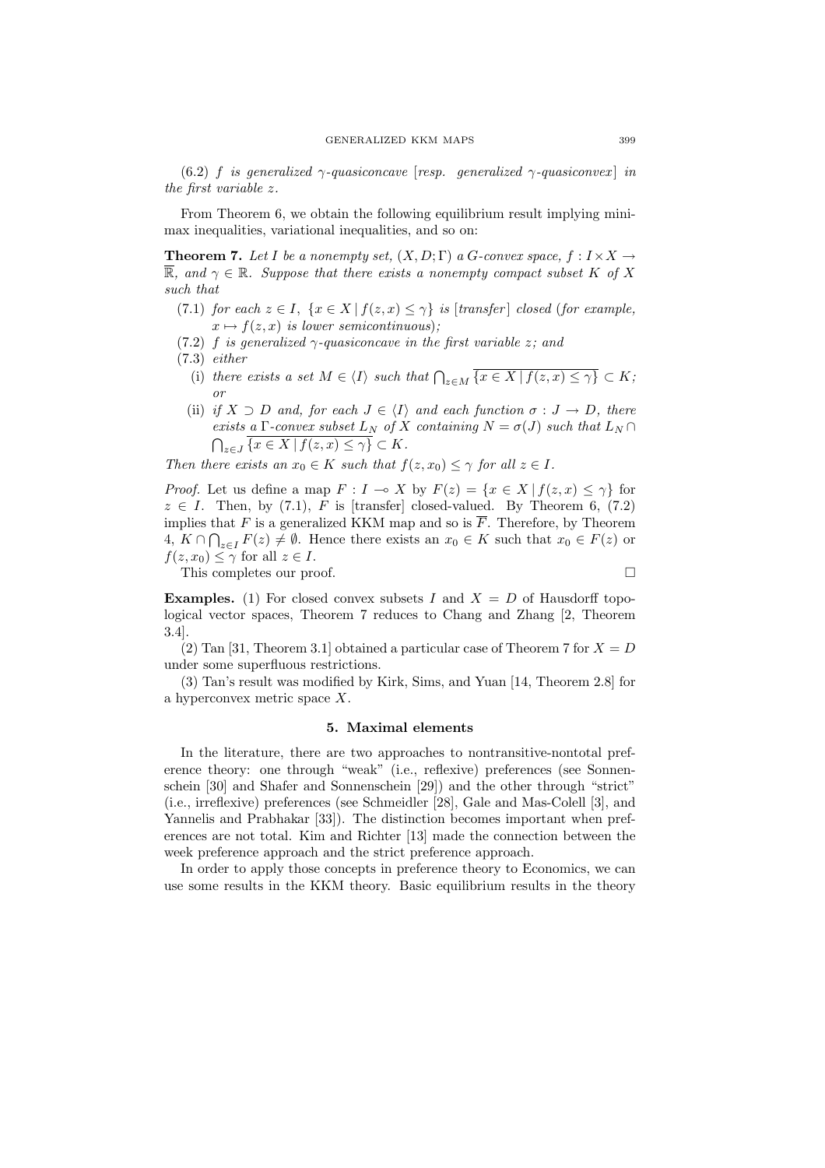(6.2) f is generalized  $\gamma$ -quasiconcave [resp. generalized  $\gamma$ -quasiconvex] in the first variable z.

From Theorem 6, we obtain the following equilibrium result implying minimax inequalities, variational inequalities, and so on:

**Theorem 7.** Let I be a nonempty set,  $(X, D; \Gamma)$  a G-convex space,  $f: I \times X \rightarrow$  $\mathbb{R}$ , and  $\gamma \in \mathbb{R}$ . Suppose that there exists a nonempty compact subset K of X such that

- (7.1) for each  $z \in I$ ,  $\{x \in X \mid f(z, x) \leq \gamma\}$  is [transfer] closed (for example,  $x \mapsto f(z, x)$  is lower semicontinuous);
- (7.2) f is generalized  $\gamma$ -quasiconcave in the first variable z; and
- (7.3) either
	- (i) there exists a set  $M \in \langle I \rangle$  such that  $\bigcap_{z \in M} \overline{\{x \in X \mid f(z,x) \leq \gamma\}} \subset K$ ; or
	- (ii) if  $X \supset D$  and, for each  $J \in \langle I \rangle$  and each function  $\sigma : J \to D$ , there exists a Γ-convex subset  $L_N$  of X containing  $N = \sigma(J)$  such that  $L_N \cap$  $\tilde{\zeta}$  $_{z\in J}\{x\in X\,|\,f(z,x)\leq\gamma\}\subset K.$

Then there exists an  $x_0 \in K$  such that  $f(z, x_0) \leq \gamma$  for all  $z \in I$ .

*Proof.* Let us define a map  $F: I \to X$  by  $F(z) = \{x \in X \mid f(z, x) \leq \gamma\}$  for  $z \in I$ . Then, by (7.1), F is [transfer] closed-valued. By Theorem 6, (7.2) implies that F is a generalized KKM map and so is  $\overline{F}$ . Therefore, by Theorem  $4, K \cap \bigcap_{z \in I} F(z) \neq \emptyset$ . Hence there exists an  $x_0 \in K$  such that  $x_0 \in F(z)$  or  $f(z, x_0) \leq \gamma$  for all  $z \in I$ .

This completes our proof.

**Examples.** (1) For closed convex subsets I and  $X = D$  of Hausdorff topological vector spaces, Theorem 7 reduces to Chang and Zhang [2, Theorem 3.4].

(2) Tan [31, Theorem 3.1] obtained a particular case of Theorem 7 for  $X = D$ under some superfluous restrictions.

(3) Tan's result was modified by Kirk, Sims, and Yuan [14, Theorem 2.8] for a hyperconvex metric space X.

### 5. Maximal elements

In the literature, there are two approaches to nontransitive-nontotal preference theory: one through "weak" (i.e., reflexive) preferences (see Sonnenschein [30] and Shafer and Sonnenschein [29]) and the other through "strict" (i.e., irreflexive) preferences (see Schmeidler [28], Gale and Mas-Colell [3], and Yannelis and Prabhakar [33]). The distinction becomes important when preferences are not total. Kim and Richter [13] made the connection between the week preference approach and the strict preference approach.

In order to apply those concepts in preference theory to Economics, we can use some results in the KKM theory. Basic equilibrium results in the theory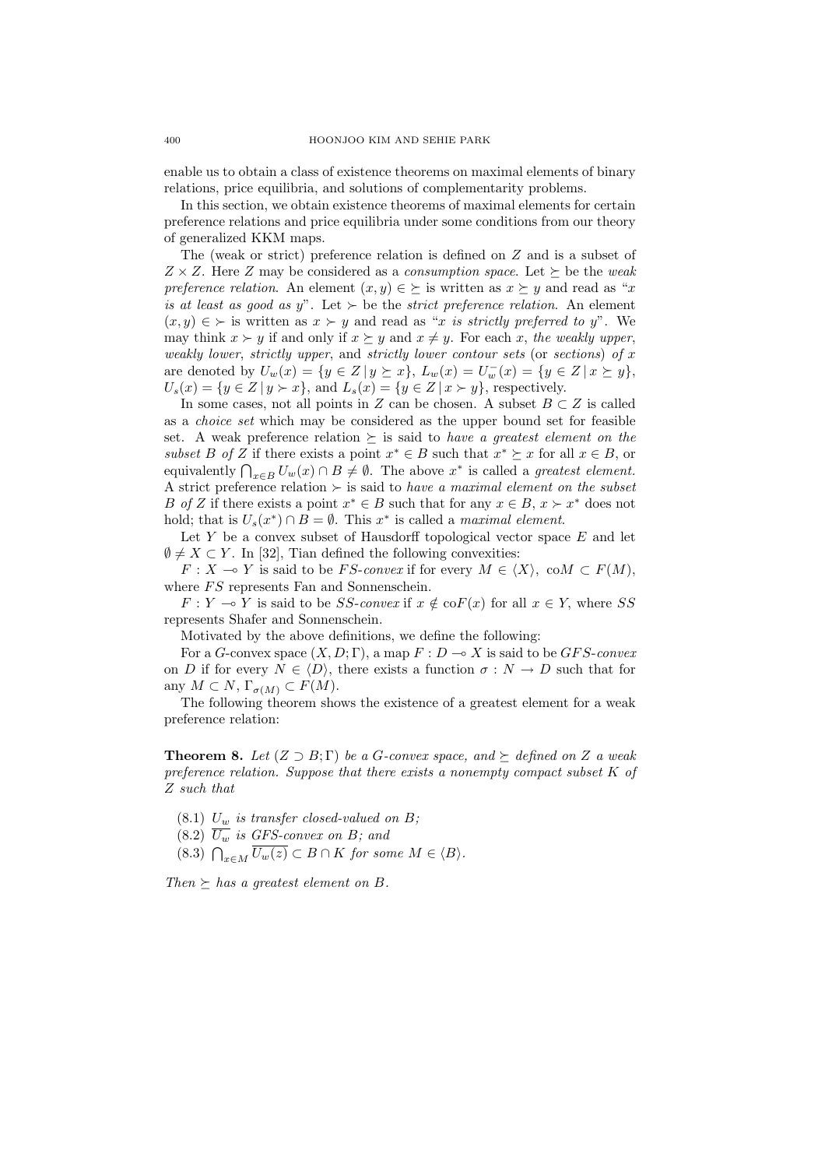enable us to obtain a class of existence theorems on maximal elements of binary relations, price equilibria, and solutions of complementarity problems.

In this section, we obtain existence theorems of maximal elements for certain preference relations and price equilibria under some conditions from our theory of generalized KKM maps.

The (weak or strict) preference relation is defined on Z and is a subset of  $Z \times Z$ . Here Z may be considered as a *consumption space*. Let  $\succeq$  be the weak preference relation. An element  $(x, y) \in \Sigma$  is written as  $x \Sigma y$  and read as "x" is at least as good as y". Let  $\succ$  be the strict preference relation. An element  $(x, y) \in \Sigma$  is written as  $x \Sigma y$  and read as "x is strictly preferred to y". We may think  $x \succ y$  if and only if  $x \succeq y$  and  $x \neq y$ . For each x, the weakly upper, weakly lower, strictly upper, and strictly lower contour sets (or sections) of  $x$ are denoted by  $U_w(x) = \{y \in Z | y \succeq x\}, L_w(x) = U_w^-(x) = \{y \in Z | x \succeq y\},\$  $U_s(x) = \{y \in Z \mid y \succ x\},\$  and  $L_s(x) = \{y \in Z \mid x \succ y\}$ , respectively.

In some cases, not all points in Z can be chosen. A subset  $B \subset Z$  is called as a choice set which may be considered as the upper bound set for feasible set. A weak preference relation  $\succeq$  is said to have a greatest element on the subset B of Z if there exists a point  $x^* \in B$  such that  $x^* \succeq x$  for all  $x \in B$ , or sweet B of Z It there exists a point  $x \in B$  such that  $x \in x$  for all  $x \in B$ , or equivalently  $\bigcap_{x \in B} U_w(x) \cap B \neq \emptyset$ . The above  $x^*$  is called a *greatest element*. A strict preference relation  $\succ$  is said to have a maximal element on the subset B of Z if there exists a point  $x^* \in B$  such that for any  $x \in B$ ,  $x \succ x^*$  does not hold; that is  $U_s(x^*) \cap B = \emptyset$ . This  $x^*$  is called a maximal element.

Let  $Y$  be a convex subset of Hausdorff topological vector space  $E$  and let  $\emptyset \neq X \subset Y$ . In [32], Tian defined the following convexities:

 $F: X \to Y$  is said to be FS-convex if for every  $M \in \langle X \rangle$ , co $M \subset F(M)$ , where  $FS$  represents Fan and Sonnenschein.

 $F: Y \to Y$  is said to be SS-convex if  $x \notin \text{coF}(x)$  for all  $x \in Y$ , where SS represents Shafer and Sonnenschein.

Motivated by the above definitions, we define the following:

For a G-convex space  $(X, D; \Gamma)$ , a map  $F: D \to X$  is said to be GFS-convex on D if for every  $N \in \langle D \rangle$ , there exists a function  $\sigma : N \to D$  such that for any  $M \subset N$ ,  $\Gamma_{\sigma(M)} \subset F(M)$ .

The following theorem shows the existence of a greatest element for a weak preference relation:

**Theorem 8.** Let  $(Z \supset B; \Gamma)$  be a G-convex space, and  $\succeq$  defined on Z a weak preference relation. Suppose that there exists a nonempty compact subset K of Z such that

- $(8.1)$  U<sub>w</sub> is transfer closed-valued on B;
- $(8.2)$   $\overline{U_w}$  is GFS-convex on B; and
- (8.2)  $U_w$  is  $\overline{U_w(z)} \subset B \cap K$  for some  $M \in \langle B \rangle$ .

Then  $\succeq$  has a greatest element on B.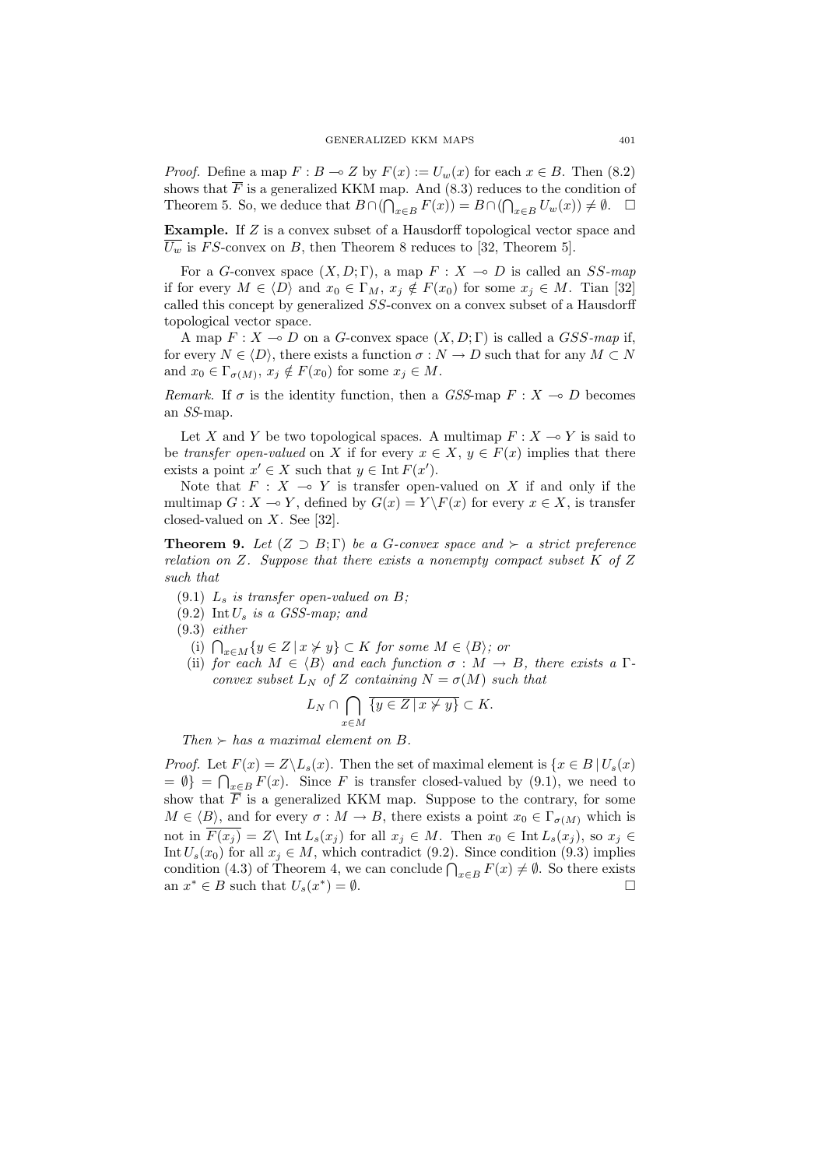*Proof.* Define a map  $F : B \to Z$  by  $F(x) := U_w(x)$  for each  $x \in B$ . Then (8.2) shows that  $\overline{F}$  is a generalized KKM map. And (8.3) reduces to the condition of Theorem 5. So, we deduce that  $B \cap (\bigcap_{x \in B} F(x)) = B \cap (\bigcap_{x \in B} U_w(x)) \neq \emptyset$ .  $\Box$ 

Example. If Z is a convex subset of a Hausdorff topological vector space and  $U_w$  is FS-convex on B, then Theorem 8 reduces to [32, Theorem 5].

For a G-convex space  $(X, D; \Gamma)$ , a map  $F : X \multimap D$  is called an SS-map if for every  $M \in \langle D \rangle$  and  $x_0 \in \Gamma_M$ ,  $x_i \notin F(x_0)$  for some  $x_i \in M$ . Tian [32] called this concept by generalized SS-convex on a convex subset of a Hausdorff topological vector space.

A map  $F: X \to D$  on a G-convex space  $(X, D; \Gamma)$  is called a GSS-map if, for every  $N \in \langle D \rangle$ , there exists a function  $\sigma : N \to D$  such that for any  $M \subset N$ and  $x_0 \in \Gamma_{\sigma(M)}$ ,  $x_j \notin F(x_0)$  for some  $x_j \in M$ .

Remark. If  $\sigma$  is the identity function, then a GSS-map  $F : X \to D$  becomes an SS-map.

Let X and Y be two topological spaces. A multimap  $F : X \to Y$  is said to be transfer open-valued on X if for every  $x \in X$ ,  $y \in F(x)$  implies that there exists a point  $x' \in X$  such that  $y \in \text{Int } F(x')$ .

Note that  $F : X \multimap Y$  is transfer open-valued on X if and only if the multimap  $G : X \to Y$ , defined by  $G(x) = Y \backslash F(x)$  for every  $x \in X$ , is transfer closed-valued on  $X$ . See [32].

**Theorem 9.** Let  $(Z \supset B; \Gamma)$  be a G-convex space and  $\succ$  a strict preference relation on Z. Suppose that there exists a nonempty compact subset  $K$  of Z such that

- $(9.1)$   $L_s$  is transfer open-valued on B;
- $(9.2)$  Int  $U_s$  is a GSS-map; and
- (9.3) either
	- (i)  $\bigcap_{x \in M} \{y \in Z \mid x \neq y\} \subset K$  for some  $M \in \langle B \rangle$ ; or
	- (ii) for each  $M \in \langle B \rangle$  and each function  $\sigma : M \to B$ , there exists a  $\Gamma$ convex subset  $L_N$  of Z containing  $N = \sigma(M)$  such that

$$
L_N \cap \bigcap_{x \in M} \overline{\{y \in Z \mid x \neq y\}} \subset K.
$$

Then  $\succ$  has a maximal element on B.

*Proof.* Let  $F(x) = Z \setminus L_s(x)$ . Then the set of maximal element is  $\{x \in B \mid U_s(x) \leq x\}$  $= \emptyset$  =  $\bigcap_{x \in B} F(x)$ . Since F is transfer closed-valued by (9.1), we need to show that  $\overline{F}$  is a generalized KKM map. Suppose to the contrary, for some  $M \in \langle B \rangle$ , and for every  $\sigma : M \to B$ , there exists a point  $x_0 \in \Gamma_{\sigma(M)}$  which is not in  $\overline{F(x_i)} = Z \backslash \text{ Int } L_s(x_i)$  for all  $x_i \in M$ . Then  $x_0 \in \text{Int } L_s(x_i)$ , so  $x_i \in$ Int  $U_s(x_0)$  for all  $x_j \in M$ , which contradict (9.2). Since condition (9.3) implies int  $\partial_s(x_0)$  for an  $x_j \in M$ , which contradict (9.2). Since condition (9.3) implies<br>condition (4.3) of Theorem 4, we can conclude  $\bigcap_{x \in B} F(x) \neq \emptyset$ . So there exists an  $x^* \in B$  such that  $U_s(x^*) = \emptyset$ .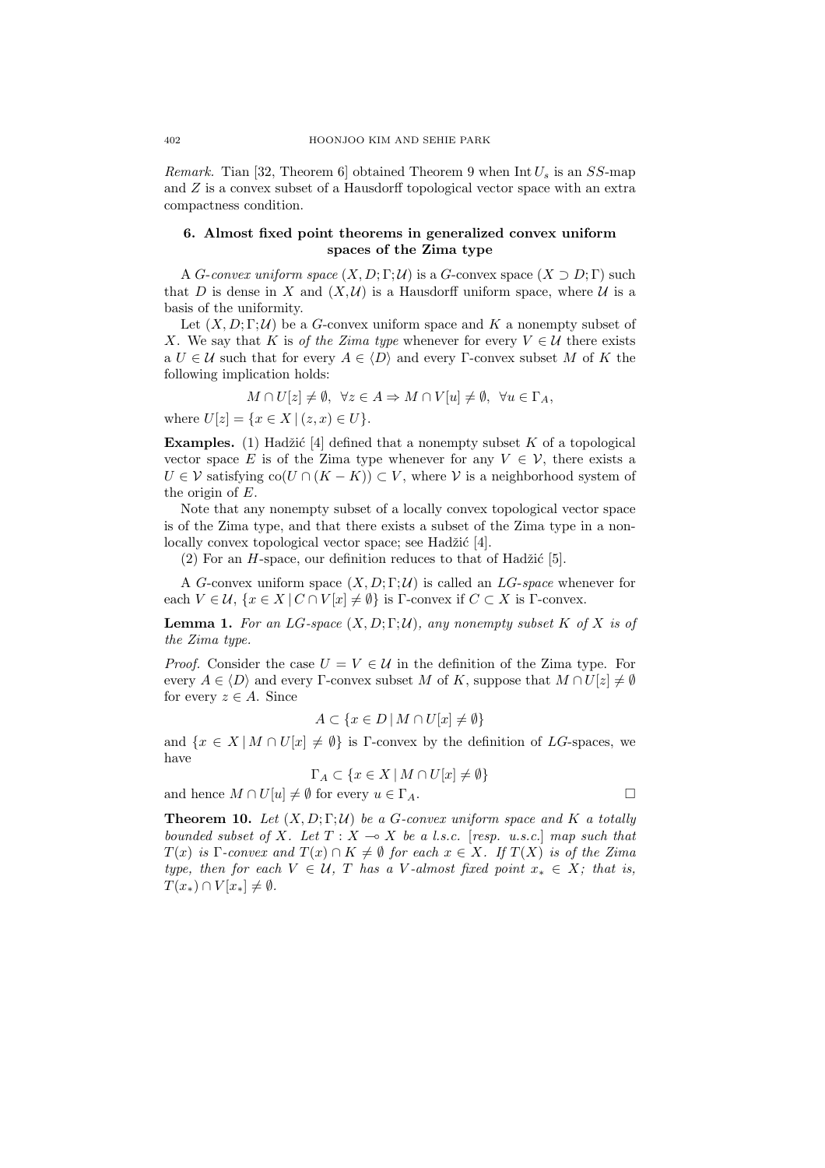*Remark.* Tian [32, Theorem 6] obtained Theorem 9 when  $Int U_s$  is an  $SS$ -map and Z is a convex subset of a Hausdorff topological vector space with an extra compactness condition.

# 6. Almost fixed point theorems in generalized convex uniform spaces of the Zima type

A *G*-convex uniform space  $(X, D; \Gamma; \mathcal{U})$  is a *G*-convex space  $(X \supset D; \Gamma)$  such that D is dense in X and  $(X, \mathcal{U})$  is a Hausdorff uniform space, where U is a basis of the uniformity.

Let  $(X, D; \Gamma; \mathcal{U})$  be a G-convex uniform space and K a nonempty subset of X. We say that K is of the Zima type whenever for every  $V \in \mathcal{U}$  there exists a  $U \in \mathcal{U}$  such that for every  $A \in \langle D \rangle$  and every Γ-convex subset M of K the following implication holds:

$$
M \cap U[z] \neq \emptyset, \ \forall z \in A \Rightarrow M \cap V[u] \neq \emptyset, \ \forall u \in \Gamma_A,
$$

where  $U[z] = \{x \in X \mid (z, x) \in U\}.$ 

**Examples.** (1) Hadžić [4] defined that a nonempty subset K of a topological vector space E is of the Zima type whenever for any  $V \in \mathcal{V}$ , there exists a  $U \in V$  satisfying  $co(U \cap (K - K)) \subset V$ , where V is a neighborhood system of the origin of E.

Note that any nonempty subset of a locally convex topological vector space is of the Zima type, and that there exists a subset of the Zima type in a nonlocally convex topological vector space; see Hadžić [4].

 $(2)$  For an *H*-space, our definition reduces to that of Hadžić [5].

A G-convex uniform space  $(X, D; \Gamma; \mathcal{U})$  is called an LG-space whenever for each  $V \in \mathcal{U}$ ,  $\{x \in X \mid C \cap V[x] \neq \emptyset\}$  is  $\Gamma$ -convex if  $C \subset X$  is  $\Gamma$ -convex.

**Lemma 1.** For an LG-space  $(X, D; \Gamma; \mathcal{U})$ , any nonempty subset K of X is of the Zima type.

*Proof.* Consider the case  $U = V \in \mathcal{U}$  in the definition of the Zima type. For every  $A \in \langle D \rangle$  and every Γ-convex subset M of K, suppose that  $M \cap U[z] \neq \emptyset$ for every  $z \in A$ . Since

$$
A \subset \{ x \in D \mid M \cap U[x] \neq \emptyset \}
$$

and  $\{x \in X \mid M \cap U[x] \neq \emptyset\}$  is Γ-convex by the definition of LG-spaces, we have

$$
\Gamma_A \subset \{ x \in X \mid M \cap U[x] \neq \emptyset \}
$$

and hence  $M \cap U[u] \neq \emptyset$  for every  $u \in \Gamma_A$ .

**Theorem 10.** Let  $(X, D; \Gamma; \mathcal{U})$  be a G-convex uniform space and K a totally bounded subset of X. Let  $T : X \to X$  be a l.s.c. [resp. u.s.c.] map such that  $T(x)$  is Γ-convex and  $T(x) \cap K \neq \emptyset$  for each  $x \in X$ . If  $T(X)$  is of the Zima type, then for each  $V \in \mathcal{U}$ , T has a V-almost fixed point  $x_* \in X$ ; that is,  $T(x_*) \cap V[x_*] \neq \emptyset.$ 

$$
\Box
$$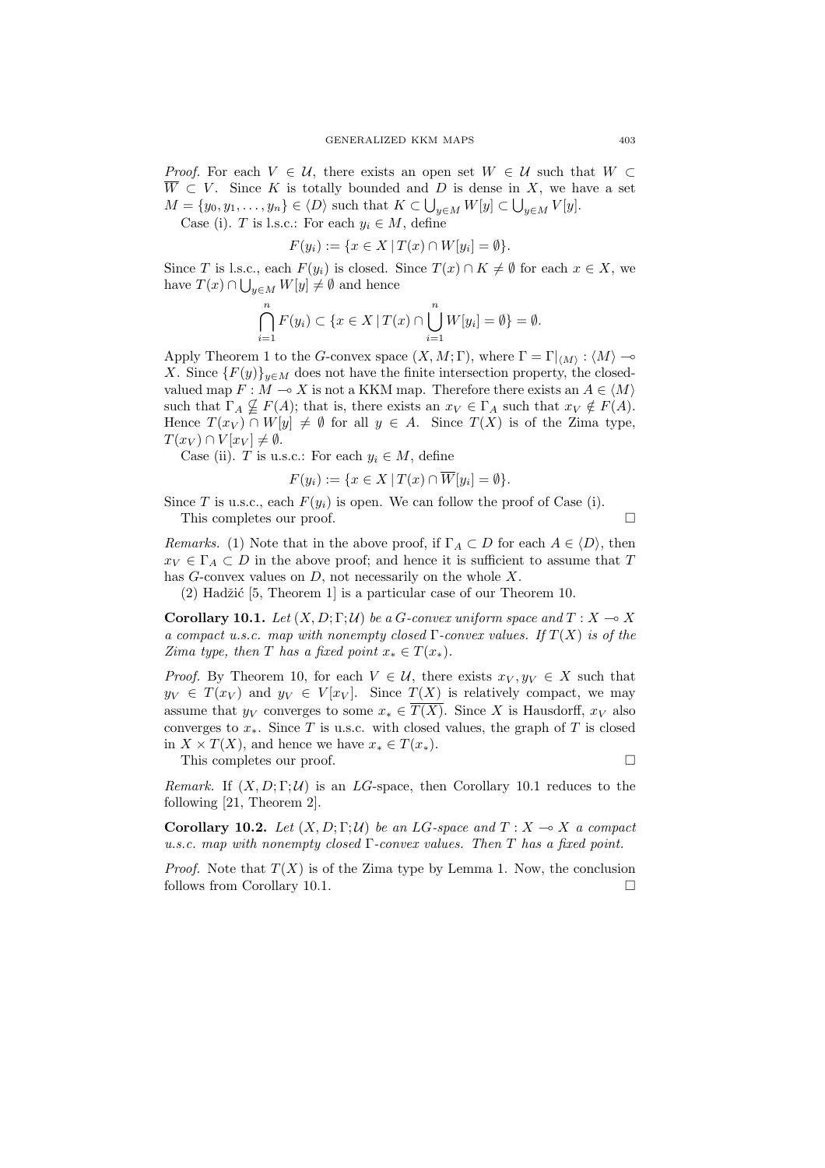*Proof.* For each  $V \in U$ , there exists an open set  $W \in U$  such that  $W \subset$  $\overline{W} \subset V$ . Since K is totally bounded and D is dense in X, we have a set  $M = \{y_0, y_1, \ldots, y_n\} \in \langle D \rangle$  such that  $K \subset \bigcup_{y \in M} W[y] \subset \bigcup_{y \in M} V[y]$ .

Case (i). T is l.s.c.: For each  $y_i \in M$ , define

$$
F(y_i) := \{ x \in X \, | \, T(x) \cap W[y_i] = \emptyset \}.
$$

Since T is l.s.c., each  $F(y_i)$  is closed. Since  $T(x) \cap K \neq \emptyset$  for each  $x \in X$ , we have  $T(x) \cap \bigcup_{y \in M} W[y] \neq \emptyset$  and hence

$$
\bigcap_{i=1}^{n} F(y_i) \subset \{ x \in X \mid T(x) \cap \bigcup_{i=1}^{n} W[y_i] = \emptyset \} = \emptyset.
$$

Apply Theorem 1 to the G-convex space  $(X, M; \Gamma)$ , where  $\Gamma = \Gamma|_{\langle M \rangle} : \langle M \rangle \longrightarrow$ X. Since  ${F(y)}_{y\in M}$  does not have the finite intersection property, the closedvalued map  $F : M \to X$  is not a KKM map. Therefore there exists an  $A \in \langle M \rangle$ such that  $\Gamma_A \nsubseteq F(A)$ ; that is, there exists an  $x_V \in \Gamma_A$  such that  $x_V \notin F(A)$ . Hence  $T(x_V) \cap W[y] \neq \emptyset$  for all  $y \in A$ . Since  $T(X)$  is of the Zima type,  $T(x_V) \cap V[x_V] \neq \emptyset.$ 

Case (ii). T is u.s.c.: For each  $y_i \in M$ , define

$$
F(y_i) := \{ x \in X \mid T(x) \cap \overline{W}[y_i] = \emptyset \}.
$$

Since T is u.s.c., each  $F(y_i)$  is open. We can follow the proof of Case (i). This completes our proof.

*Remarks.* (1) Note that in the above proof, if  $\Gamma_A \subset D$  for each  $A \in \langle D \rangle$ , then  $x_V \in \Gamma_A \subset D$  in the above proof; and hence it is sufficient to assume that T has  $G$ -convex values on  $D$ , not necessarily on the whole  $X$ .

 $(2)$  Hadžić [5, Theorem 1] is a particular case of our Theorem 10.

Corollary 10.1. Let  $(X, D; \Gamma; \mathcal{U})$  be a G-convex uniform space and  $T: X \to X$ a compact u.s.c. map with nonempty closed  $\Gamma$ -convex values. If  $T(X)$  is of the Zima type, then T has a fixed point  $x_* \in T(x_*)$ .

*Proof.* By Theorem 10, for each  $V \in \mathcal{U}$ , there exists  $x_V, y_V \in X$  such that  $y_V \in T(x_V)$  and  $y_V \in V[x_V]$ . Since  $T(X)$  is relatively compact, we may assume that  $y_V$  converges to some  $x_* \in \overline{T(X)}$ . Since X is Hausdorff,  $x_V$  also converges to  $x_*$ . Since T is u.s.c. with closed values, the graph of T is closed in  $X \times T(X)$ , and hence we have  $x_* \in T(x_*)$ .

This completes our proof.  $\Box$ 

Remark. If  $(X, D; \Gamma; \mathcal{U})$  is an LG-space, then Corollary 10.1 reduces to the following [21, Theorem 2].

Corollary 10.2. Let  $(X, D; \Gamma; \mathcal{U})$  be an LG-space and  $T : X \to X$  a compact u.s.c. map with nonempty closed Γ-convex values. Then T has a fixed point.

*Proof.* Note that  $T(X)$  is of the Zima type by Lemma 1. Now, the conclusion follows from Corollary 10.1.  $\Box$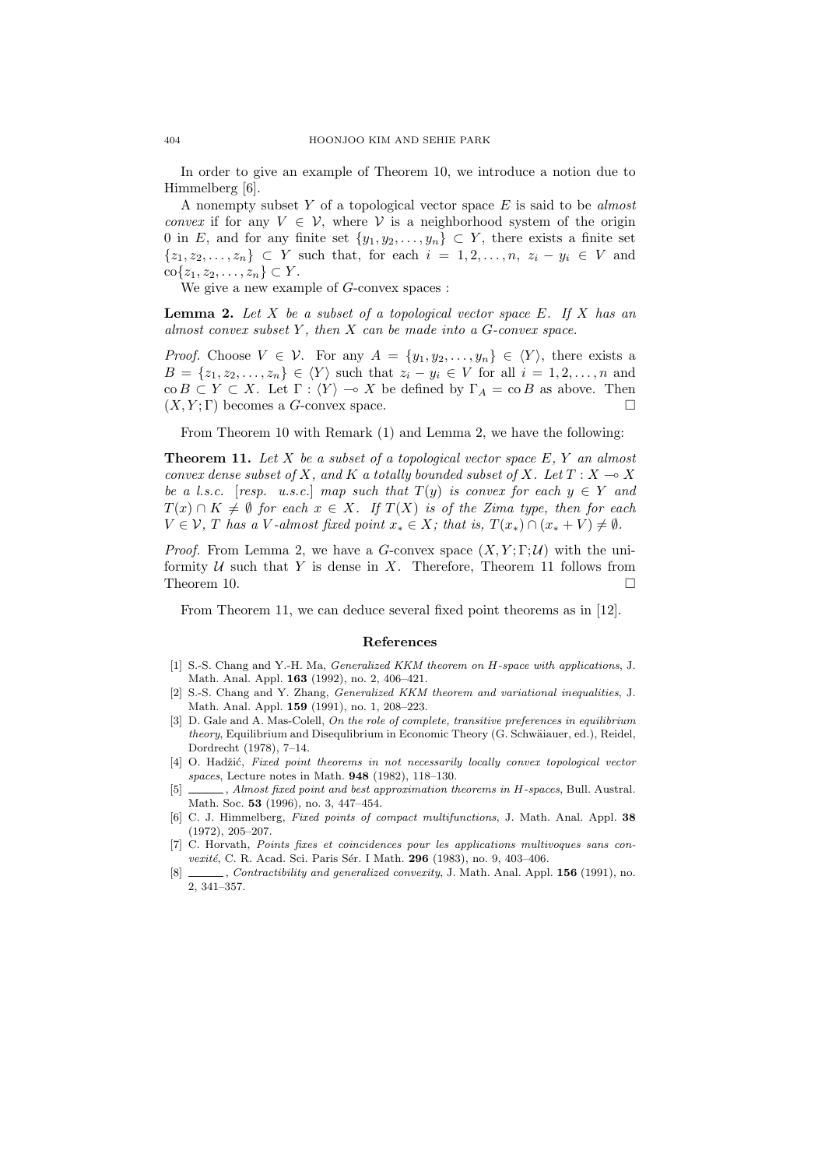In order to give an example of Theorem 10, we introduce a notion due to Himmelberg [6].

A nonempty subset  $Y$  of a topological vector space  $E$  is said to be almost convex if for any  $V \in V$ , where V is a neighborhood system of the origin 0 in E, and for any finite set  $\{y_1, y_2, \ldots, y_n\} \subset Y$ , there exists a finite set  $\{z_1, z_2, \ldots, z_n\} \subset Y$  such that, for each  $i = 1, 2, \ldots, n$ ,  $z_i - y_i \in V$  and  $\text{co}\{z_1, z_2, \ldots, z_n\} \subset Y$ .

We give a new example of  $G$ -convex spaces :

**Lemma 2.** Let X be a subset of a topological vector space  $E$ . If X has an almost convex subset Y, then  $X$  can be made into a  $G$ -convex space.

*Proof.* Choose  $V \in \mathcal{V}$ . For any  $A = \{y_1, y_2, \ldots, y_n\} \in \langle Y \rangle$ , there exists a  $B = \{z_1, z_2, \ldots, z_n\} \in \langle Y \rangle$  such that  $z_i - y_i \in V$  for all  $i = 1, 2, \ldots, n$  and  $\operatorname{co} B \subset Y \subset X$ . Let  $\Gamma : \langle Y \rangle \to X$  be defined by  $\Gamma_A = \operatorname{co} B$  as above. Then  $(X, Y; \Gamma)$  becomes a G-convex space.

From Theorem 10 with Remark (1) and Lemma 2, we have the following:

**Theorem 11.** Let X be a subset of a topological vector space  $E, Y$  an almost convex dense subset of X, and K a totally bounded subset of X. Let  $T : X \longrightarrow X$ be a l.s.c. [resp. u.s.c.] map such that  $T(y)$  is convex for each  $y \in Y$  and  $T(x) \cap K \neq \emptyset$  for each  $x \in X$ . If  $T(X)$  is of the Zima type, then for each  $V \in \mathcal{V}$ , T has a V-almost fixed point  $x_* \in X$ ; that is,  $T(x_*) \cap (x_* + V) \neq \emptyset$ .

*Proof.* From Lemma 2, we have a G-convex space  $(X, Y; \Gamma; \mathcal{U})$  with the uniformity  $U$  such that Y is dense in X. Therefore, Theorem 11 follows from Theorem 10.  $\Box$ 

From Theorem 11, we can deduce several fixed point theorems as in [12].

## References

- [1] S.-S. Chang and Y.-H. Ma, Generalized KKM theorem on H-space with applications, J. Math. Anal. Appl. 163 (1992), no. 2, 406–421.
- [2] S.-S. Chang and Y. Zhang, Generalized KKM theorem and variational inequalities, J. Math. Anal. Appl. 159 (1991), no. 1, 208–223.
- [3] D. Gale and A. Mas-Colell, On the role of complete, transitive preferences in equilibrium theory, Equilibrium and Disequlibrium in Economic Theory (G. Schwäiauer, ed.), Reidel, Dordrecht (1978), 7–14.
- [4] O. Hadžić, Fixed point theorems in not necessarily locally convex topological vector spaces, Lecture notes in Math. 948 (1982), 118–130.
- [5] \_\_\_\_, Almost fixed point and best approximation theorems in H-spaces, Bull. Austral. Math. Soc. 53 (1996), no. 3, 447–454.
- [6] C. J. Himmelberg, Fixed points of compact multifunctions, J. Math. Anal. Appl. 38 (1972), 205–207.
- [7] C. Horvath, Points fixes et coincidences pour les applications multivoques sans con $vexité$ , C. R. Acad. Sci. Paris Sér. I Math. 296 (1983), no. 9, 403-406.
- [8] \_\_\_\_, Contractibility and generalized convexity, J. Math. Anal. Appl. 156 (1991), no. 2, 341–357.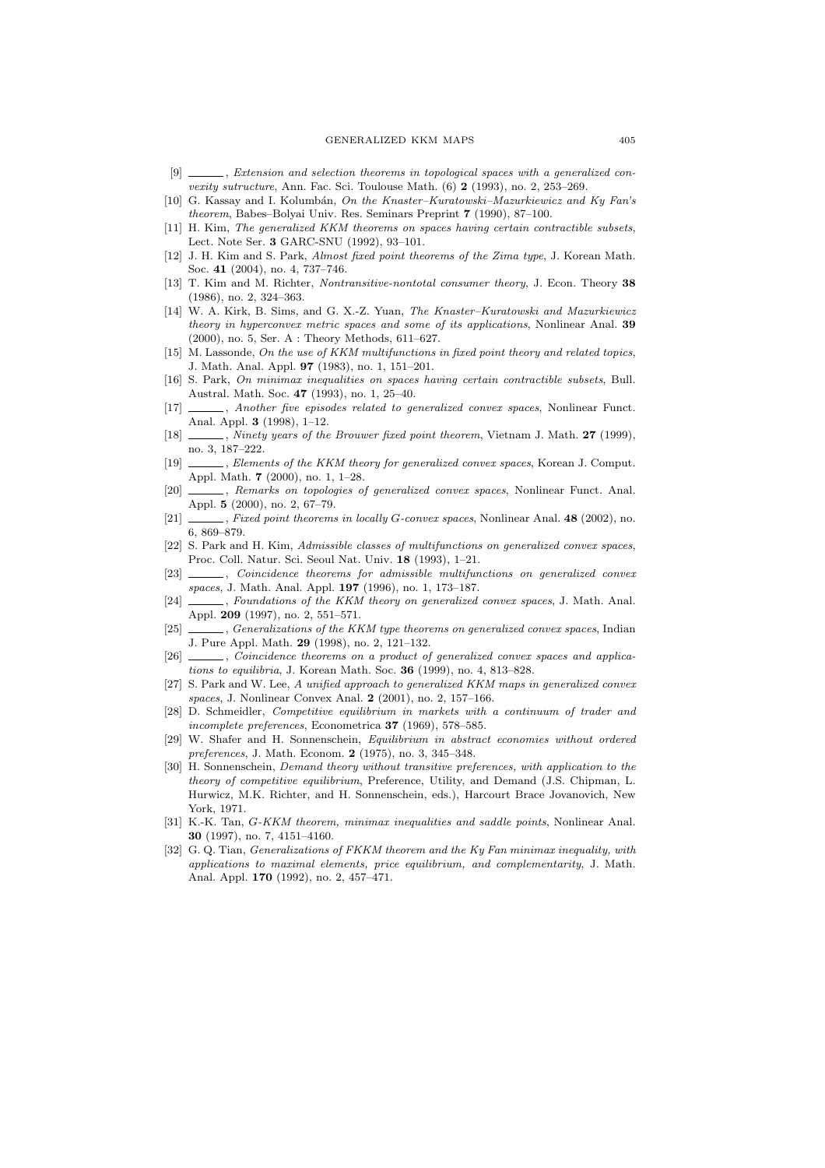- [9] \_\_\_\_\_, Extension and selection theorems in topological spaces with a generalized convexity sutructure, Ann. Fac. Sci. Toulouse Math.  $(6)$  2 (1993), no. 2, 253–269.
- [10] G. Kassay and I. Kolumbán, On the Knaster-Kuratowski-Mazurkiewicz and Ky Fan's theorem, Babes–Bolyai Univ. Res. Seminars Preprint 7 (1990), 87–100.
- [11] H. Kim, The generalized KKM theorems on spaces having certain contractible subsets, Lect. Note Ser. 3 GARC-SNU (1992), 93–101.
- [12] J. H. Kim and S. Park, Almost fixed point theorems of the Zima type, J. Korean Math. Soc. 41 (2004), no. 4, 737–746.
- [13] T. Kim and M. Richter, Nontransitive-nontotal consumer theory, J. Econ. Theory 38 (1986), no. 2, 324–363.
- [14] W. A. Kirk, B. Sims, and G. X.-Z. Yuan, The Knaster–Kuratowski and Mazurkiewicz theory in hyperconvex metric spaces and some of its applications, Nonlinear Anal. 39 (2000), no. 5, Ser. A : Theory Methods, 611–627.
- [15] M. Lassonde, On the use of KKM multifunctions in fixed point theory and related topics, J. Math. Anal. Appl. 97 (1983), no. 1, 151–201.
- [16] S. Park, On minimax inequalities on spaces having certain contractible subsets, Bull. Austral. Math. Soc. 47 (1993), no. 1, 25–40.
- [17] , Another five episodes related to generalized convex spaces, Nonlinear Funct. Anal. Appl. 3 (1998), 1–12.
- [18]  $\_\_\_\_\_\$  Ninety years of the Brouwer fixed point theorem, Vietnam J. Math. 27 (1999), no. 3, 187–222.
- [19] , Elements of the KKM theory for generalized convex spaces, Korean J. Comput. Appl. Math. 7 (2000), no. 1, 1–28.
- [20] *Lemarks on topologies of generalized convex spaces*, Nonlinear Funct. Anal. Appl. 5 (2000), no. 2, 67–79.
- [21]  $\_\_\_\_\$  Fixed point theorems in locally G-convex spaces, Nonlinear Anal. 48 (2002), no. 6, 869–879.
- [22] S. Park and H. Kim, Admissible classes of multifunctions on generalized convex spaces, Proc. Coll. Natur. Sci. Seoul Nat. Univ. 18 (1993), 1–21.
- [23]  $\_\_\_\_\_\_\_\_\_\.\$  Coincidence theorems for admissible multifunctions on generalized convex spaces, J. Math. Anal. Appl. 197 (1996), no. 1, 173–187.
- [24] \_\_\_\_, Foundations of the KKM theory on generalized convex spaces, J. Math. Anal. Appl. 209 (1997), no. 2, 551–571.
- [25] , Generalizations of the KKM type theorems on generalized convex spaces, Indian J. Pure Appl. Math. 29 (1998), no. 2, 121–132.
- [26] , Coincidence theorems on a product of generalized convex spaces and applications to equilibria, J. Korean Math. Soc. 36 (1999), no. 4, 813–828.
- [27] S. Park and W. Lee, A unified approach to generalized KKM maps in generalized convex spaces, J. Nonlinear Convex Anal. 2 (2001), no. 2, 157–166.
- [28] D. Schmeidler, Competitive equilibrium in markets with a continuum of trader and incomplete preferences, Econometrica 37 (1969), 578–585.
- [29] W. Shafer and H. Sonnenschein, Equilibrium in abstract economies without ordered preferences, J. Math. Econom. 2 (1975), no. 3, 345–348.
- [30] H. Sonnenschein, *Demand theory without transitive preferences*, with application to the theory of competitive equilibrium, Preference, Utility, and Demand (J.S. Chipman, L. Hurwicz, M.K. Richter, and H. Sonnenschein, eds.), Harcourt Brace Jovanovich, New York, 1971.
- [31] K.-K. Tan, G-KKM theorem, minimax inequalities and saddle points, Nonlinear Anal. 30 (1997), no. 7, 4151–4160.
- [32] G. Q. Tian, *Generalizations of FKKM theorem and the Ky Fan minimax inequality, with* applications to maximal elements, price equilibrium, and complementarity, J. Math. Anal. Appl. 170 (1992), no. 2, 457–471.